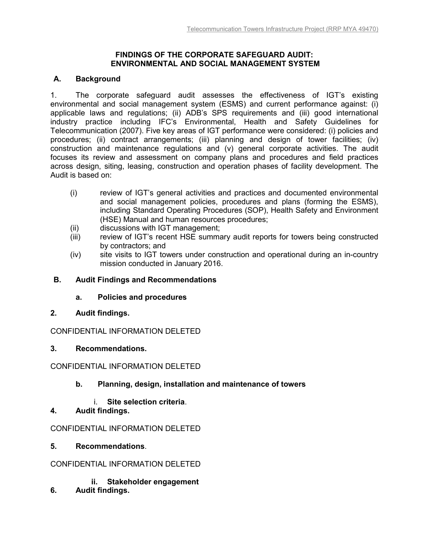### **FINDINGS OF THE CORPORATE SAFEGUARD AUDIT: ENVIRONMENTAL AND SOCIAL MANAGEMENT SYSTEM**

### **A. Background**

1. The corporate safeguard audit assesses the effectiveness of IGT's existing environmental and social management system (ESMS) and current performance against: (i) applicable laws and regulations; (ii) ADB's SPS requirements and (iii) good international industry practice including IFC's Environmental, Health and Safety Guidelines for Telecommunication (2007). Five key areas of IGT performance were considered: (i) policies and procedures; (ii) contract arrangements; (iii) planning and design of tower facilities; (iv) construction and maintenance regulations and (v) general corporate activities. The audit focuses its review and assessment on company plans and procedures and field practices across design, siting, leasing, construction and operation phases of facility development. The Audit is based on:

- (i) review of IGT's general activities and practices and documented environmental and social management policies, procedures and plans (forming the ESMS), including Standard Operating Procedures (SOP), Health Safety and Environment (HSE) Manual and human resources procedures;
- (ii) discussions with IGT management;
- (iii) review of IGT's recent HSE summary audit reports for towers being constructed by contractors; and
- (iv) site visits to IGT towers under construction and operational during an in-country mission conducted in January 2016.

### **B. Audit Findings and Recommendations**

### **a. Policies and procedures**

**2. Audit findings.** 

CONFIDENTIAL INFORMATION DELETED

**3. Recommendations.** 

### CONFIDENTIAL INFORMATION DELETED

# **b. Planning, design, installation and maintenance of towers**

- i. **Site selection criteria**.
- **4. Audit findings.**

### CONFIDENTIAL INFORMATION DELETED

**5. Recommendations**.

### CONFIDENTIAL INFORMATION DELETED

- **ii. Stakeholder engagement**
- **6. Audit findings.**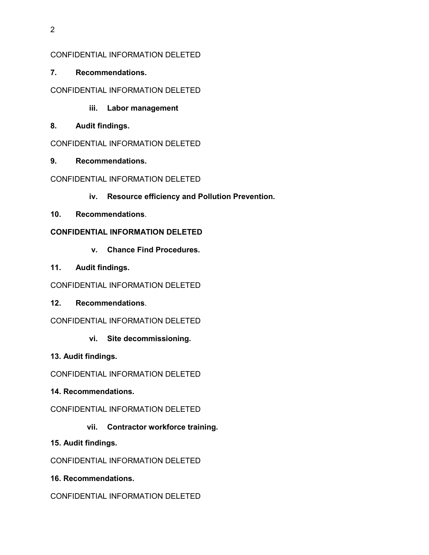2

## CONFIDENTIAL INFORMATION DELETED

**7. Recommendations.** 

# CONFIDENTIAL INFORMATION DELETED

- **iii. Labor management**
- **8. Audit findings.**

## CONFIDENTIAL INFORMATION DELETED

**9. Recommendations.**

# CONFIDENTIAL INFORMATION DELETED

- **iv. Resource efficiency and Pollution Prevention.**
- **10. Recommendations**.

## **CONFIDENTIAL INFORMATION DELETED**

- **v. Chance Find Procedures.**
- **11. Audit findings.**
- CONFIDENTIAL INFORMATION DELETED
- **12. Recommendations**.
- CONFIDENTIAL INFORMATION DELETED
	- **vi. Site decommissioning.**
- **13. Audit findings.**

CONFIDENTIAL INFORMATION DELETED

- **14. Recommendations.**
- CONFIDENTIAL INFORMATION DELETED
	- **vii. Contractor workforce training.**
- **15. Audit findings.**

CONFIDENTIAL INFORMATION DELETED

**16. Recommendations.**

CONFIDENTIAL INFORMATION DELETED